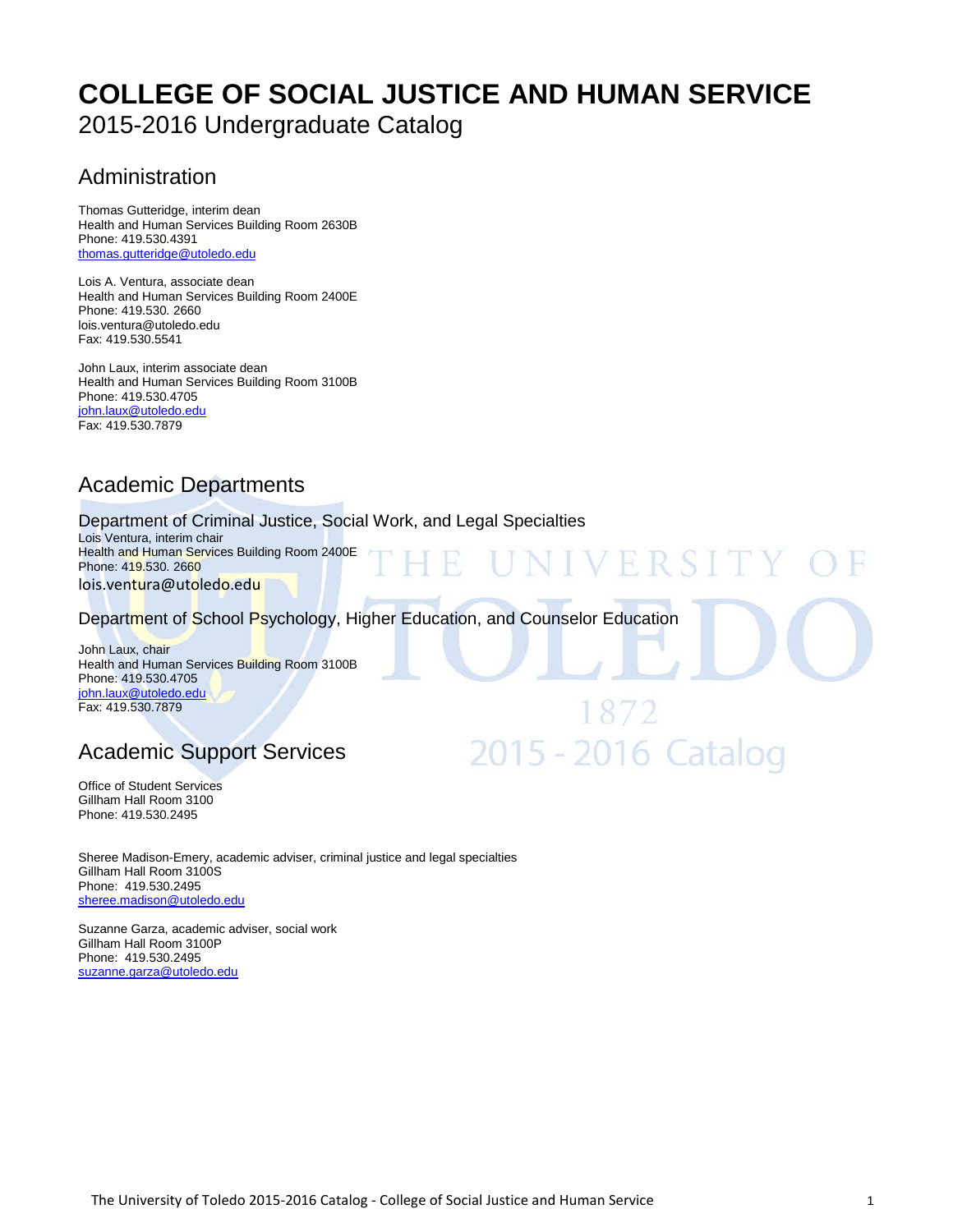# **[COLLEGE OF SOCIAL JUSTICE AND H](http://utoledo.edu/education/)UMAN SERVICE** 2015-2016 Undergraduate Catalog

# Administration

Thomas Gutteridge, interim dean Health and Human Services Building Room 2630B Phone: 419.530.4391 [thomas.gutteridge@utoledo.edu](mailto:thomas.gutteridge@utoledo.edu)

Lois A. Ventura, associate dean Health and Human Services Building Room 2400E Phone: 419.530. 2660 lois.ventura@utoledo.edu Fax: 419.530.5541

John Laux, interim associate dean Health and Human Services Building Room 3100B Phone: 419.530.4705 [john.laux@utoledo.edu](mailto:john.laux@utoledo.edu) Fax: 419.530.7879

# Academic Departments

Department of Criminal Justice, Social Work, and Legal Specialties

Lois Ventura, interim chair Health and Human Services Building Room 2400E Phone: 419.530. 2660 lois.ventura@utoledo.edu

Department of School Psychology, Higher Education, and Counselor Education

VERSI

2015 - 2016 Catalog

John Laux, chair Health and Human Services Building Room 3100B Phone: 419.530.4705 [john.laux@utoledo.edu](mailto:john.laux@utoledo.edu) Fax: 419.530.7879

# Academic Support Services

Office of Student Services Gillham Hall Room 3100 Phone: 419.530.2495

Sheree Madison-Emery, academic adviser, criminal justice and legal specialties Gillham Hall Room 3100S Phone: 419.530.2495 [sheree.madison@utoledo.edu](mailto:staci.sturdivant@utoledo.edu)

Suzanne Garza, academic adviser, social work Gillham Hall Room 3100P Phone: 419.530.2495 [suzanne.garza@utoledo.edu](mailto:suzanne.garza@utoledo.edu)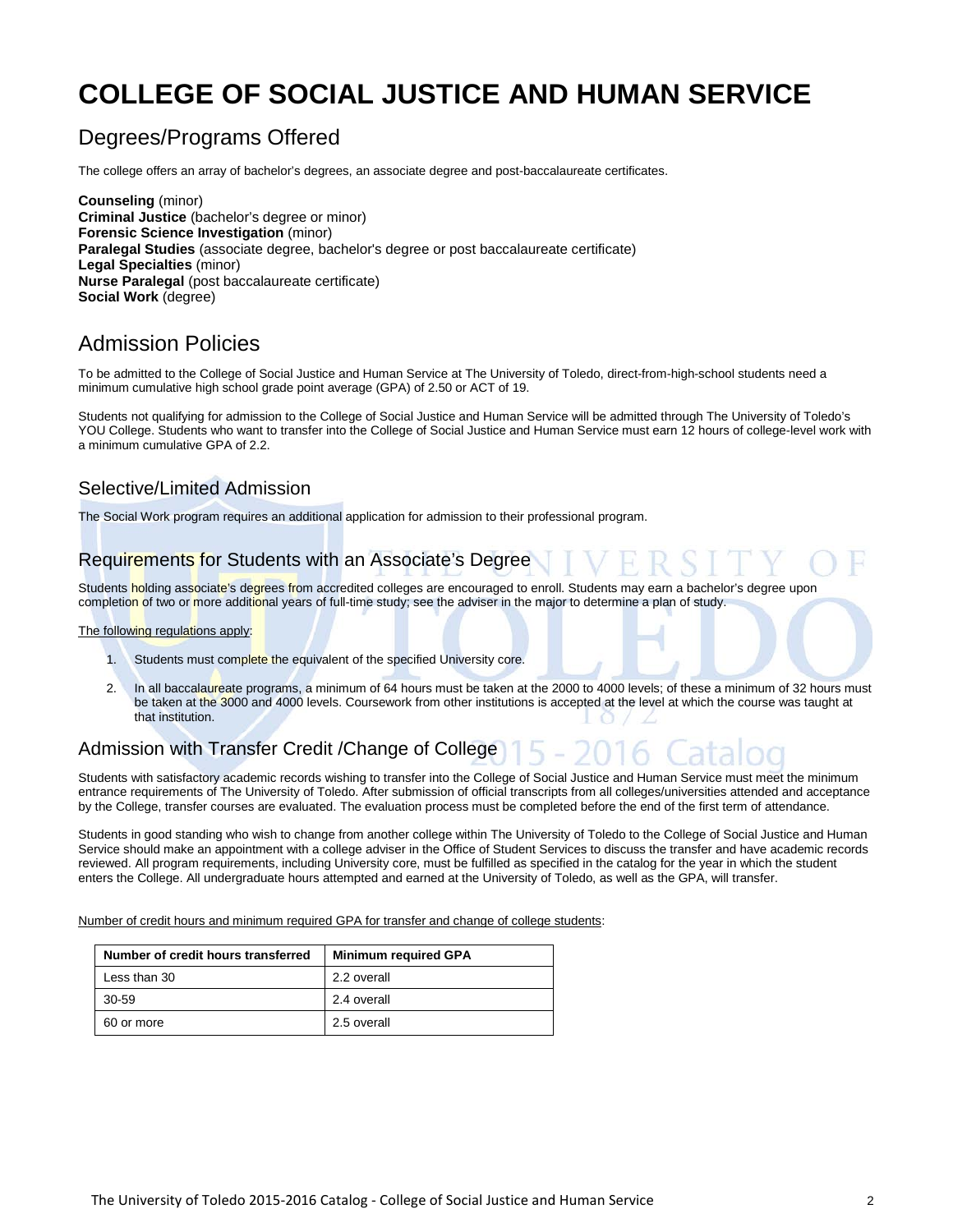# **[COLLEGE OF SOCIAL JUSTICE A](http://utoledo.edu/education/)ND HUMAN SERVICE**

# Degrees/Programs Offered

The college offers an array of bachelor's degrees, an associate degree and post-baccalaureate certificates.

**Counseling** (minor) **Criminal Justice** (bachelor's degree or minor) **Forensic Science Investigation** (minor) **Paralegal Studies** (associate degree, bachelor's degree or post baccalaureate certificate) **Legal Specialties** (minor) **Nurse Paralegal** (post baccalaureate certificate) **Social Work** (degree)

# Admission Policies

To be admitted to the College of Social Justice and Human Service at The University of Toledo, direct-from-high-school students need a minimum cumulative high school grade point average (GPA) of 2.50 or ACT of 19.

Students not qualifying for admission to the College of Social Justice and Human Service will be admitted through The University of Toledo's YOU College. Students who want to transfer into the College of Social Justice and Human Service must earn 12 hours of college-level work with a minimum cumulative GPA of 2.2.

# Selective/Limited Admission

The Social Work program requires an additional application for admission to their professional program.

# Requirements for Students with an Associate's Degree

Students holding associate's degrees from accredited colleges are encouraged to enroll. Students may earn a bachelor's degree upon completion of two or more additional years of full-time study; see the adviser in the major to determine a plan of study.

#### The following regulations apply:

- 1. Students must complete the equivalent of the specified University core.
- 2. In all baccalaureate programs, a minimum of 64 hours must be taken at the 2000 to 4000 levels; of these a minimum of 32 hours must be taken at the 3000 and 4000 levels. Coursework from other institutions is accepted at the level at which the course was taught at that institution.

# Admission with Transfer Credit /Change of College

Students with satisfactory academic records wishing to transfer into the College of Social Justice and Human Service must meet the minimum entrance requirements of The University of Toledo. After submission of official transcripts from all colleges/universities attended and acceptance by the College, transfer courses are evaluated. The evaluation process must be completed before the end of the first term of attendance.

Students in good standing who wish to change from another college within The University of Toledo to the College of Social Justice and Human Service should make an appointment with a college adviser in the Office of Student Services to discuss the transfer and have academic records reviewed. All program requirements, including University core, must be fulfilled as specified in the catalog for the year in which the student enters the College. All undergraduate hours attempted and earned at the University of Toledo, as well as the GPA, will transfer.

Number of credit hours and minimum required GPA for transfer and change of college students:

| Number of credit hours transferred | <b>Minimum required GPA</b> |
|------------------------------------|-----------------------------|
| Less than 30                       | 2.2 overall                 |
| 30-59                              | 2.4 overall                 |
| 60 or more                         | 2.5 overall                 |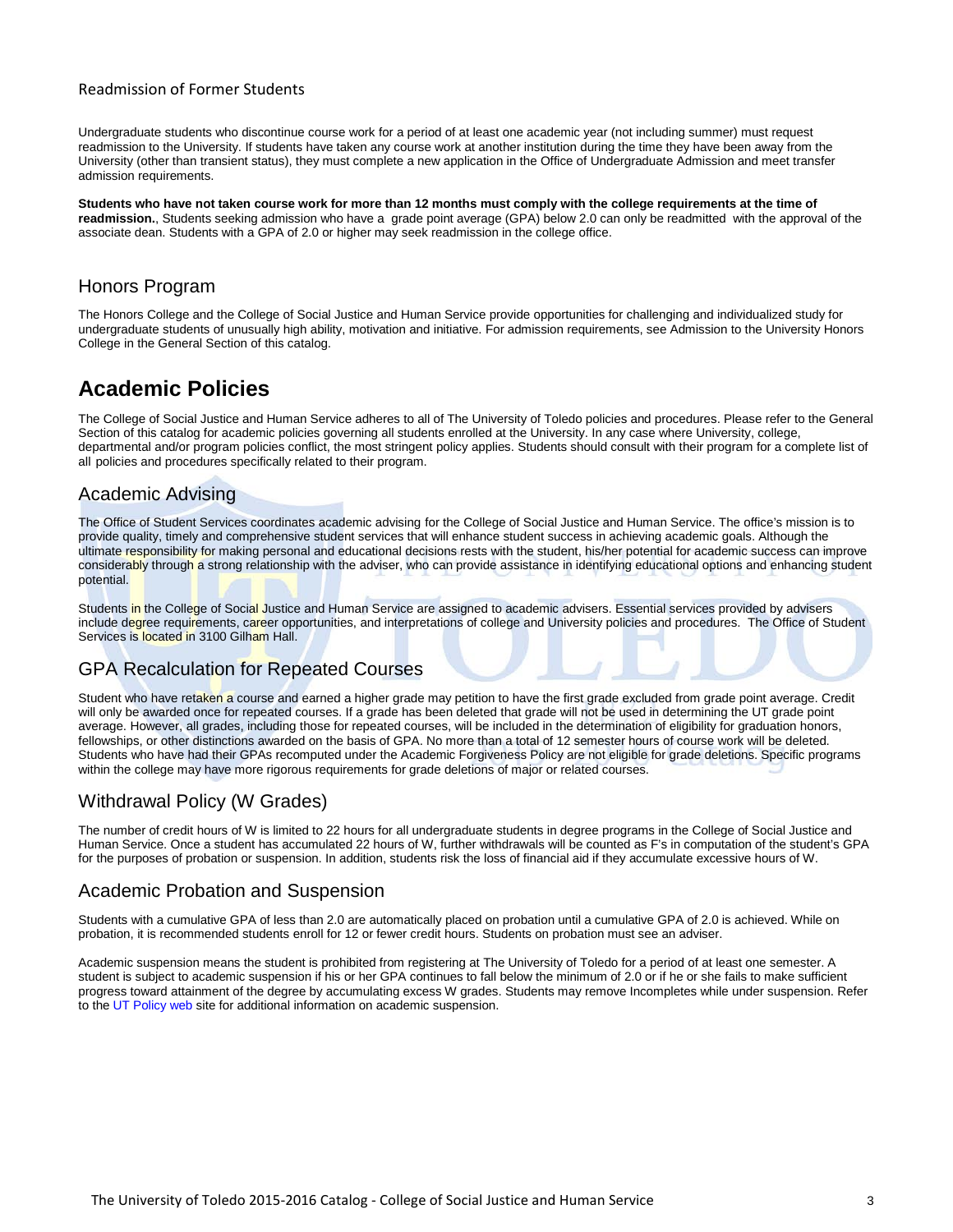#### Readmission of Former Students

Undergraduate students who discontinue course work for a period of at least one academic year (not including summer) must request readmission to the University. If students have taken any course work at another institution during the time they have been away from the University (other than transient status), they must complete a new application in the Office of Undergraduate Admission and meet transfer admission requirements.

**Students who have not taken course work for more than 12 months must comply with the college requirements at the time of readmission.**, Students seeking admission who have a grade point average (GPA) below 2.0 can only be readmitted with the approval of the associate dean. Students with a GPA of 2.0 or higher may seek readmission in the college office.

### Honors Program

The Honors College and the College of Social Justice and Human Service provide opportunities for challenging and individualized study for undergraduate students of unusually high ability, motivation and initiative. For admission requirements, see Admission to the University Honors College in the General Section of this catalog.

# **Academic Policies**

The College of Social Justice and Human Service adheres to all of The University of Toledo policies and procedures. Please refer to the General Section of this catalog for academic policies governing all students enrolled at the University. In any case where University, college, departmental and/or program policies conflict, the most stringent policy applies. Students should consult with their program for a complete list of all policies and procedures specifically related to their program.

### Academic Advising

The Office of Student Services coordinates academic advising for the College of Social Justice and Human Service. The office's mission is to provide quality, timely and comprehensive student services that will enhance student success in achieving academic goals. Although the ultimate responsibility for making personal and educational decisions rests with the student, his/her potential for academic success can improve considerably through a strong relationship with the adviser, who can provide assistance in identifying educational options and enhancing student potential.

Students in the College of Social Justice and Human Service are assigned to academic advisers. Essential services provided by advisers include degree requirements, career opportunities, and interpretations of college and University policies and procedures. The Office of Student Services is located in 3100 Gilham Hall.

#### GPA Recalculation for Repeated Courses

Student who have retaken a course and earned a higher grade may petition to have the first grade excluded from grade point average. Credit will only be awarded once for repeated courses. If a grade has been deleted that grade will not be used in determining the UT grade point average. However, all grades, including those for repeated courses, will be included in the determination of eligibility for graduation honors, fellowships, or other distinctions awarded on the basis of GPA. No more than a total of 12 semester hours of course work will be deleted. Students who have had their GPAs recomputed under the Academic Forgiveness Policy are not eligible for grade deletions. Specific programs within the college may have more rigorous requirements for grade deletions of major or related courses.

# Withdrawal Policy (W Grades)

The number of credit hours of W is limited to 22 hours for all undergraduate students in degree programs in the College of Social Justice and Human Service. Once a student has accumulated 22 hours of W, further withdrawals will be counted as F's in computation of the student's GPA for the purposes of probation or suspension. In addition, students risk the loss of financial aid if they accumulate excessive hours of W.

### Academic Probation and Suspension

Students with a cumulative GPA of less than 2.0 are automatically placed on probation until a cumulative GPA of 2.0 is achieved. While on probation, it is recommended students enroll for 12 or fewer credit hours. Students on probation must see an adviser.

Academic suspension means the student is prohibited from registering at The University of Toledo for a period of at least one semester. A student is subject to academic suspension if his or her GPA continues to fall below the minimum of 2.0 or if he or she fails to make sufficient progress toward attainment of the degree by accumulating excess W grades. Students may remove Incompletes while under suspension. Refer to th[e UT Policy web](http://utoledo.edu/policies/) site for additional information on academic suspension.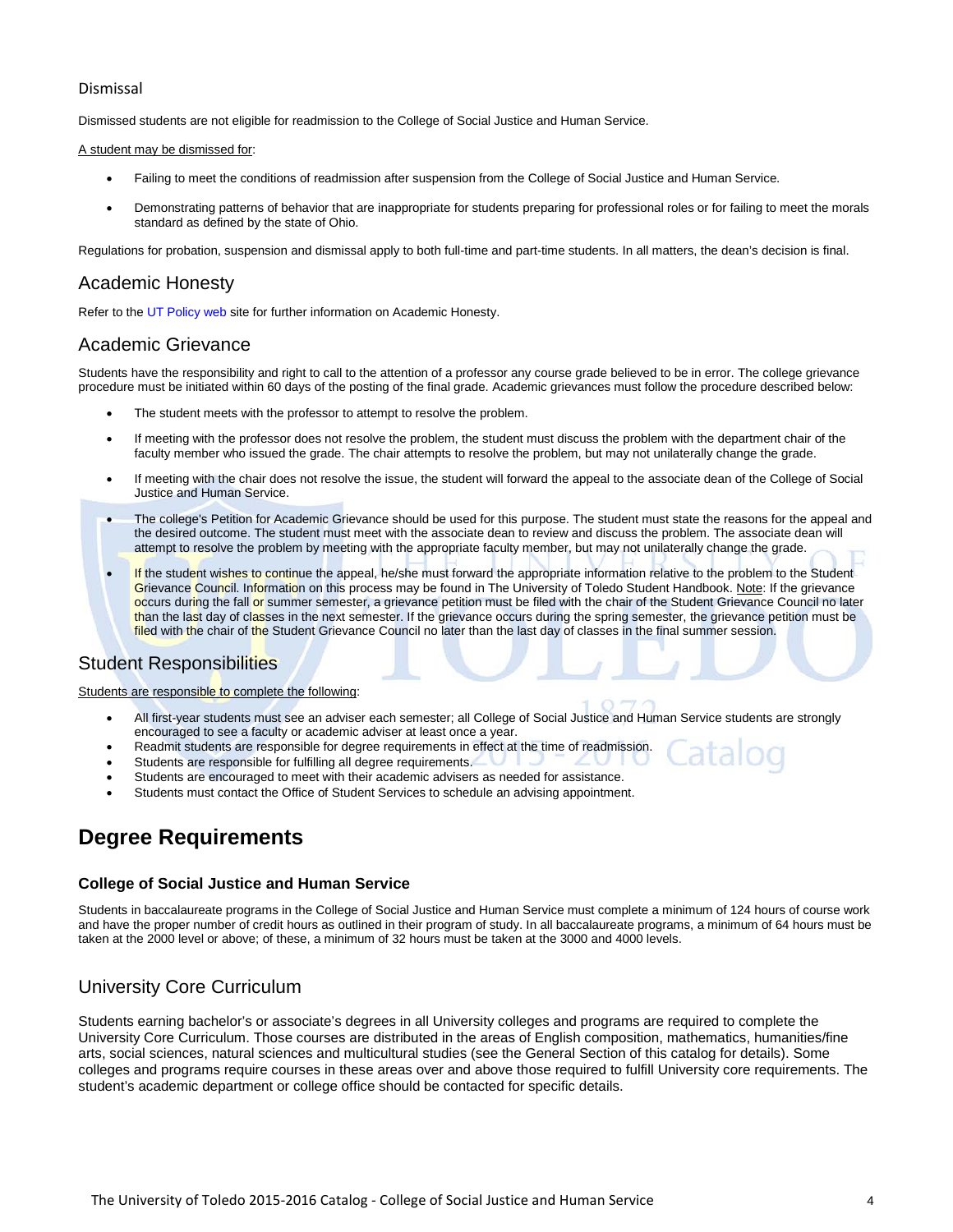#### Dismissal

Dismissed students are not eligible for readmission to the College of Social Justice and Human Service.

#### A student may be dismissed for:

- Failing to meet the conditions of readmission after suspension from the College of Social Justice and Human Service.
- Demonstrating patterns of behavior that are inappropriate for students preparing for professional roles or for failing to meet the morals standard as defined by the state of Ohio.

Regulations for probation, suspension and dismissal apply to both full-time and part-time students. In all matters, the dean's decision is final.

#### Academic Honesty

Refer to th[e UT Policy web](http://utoledo.edu/policies/) site for further information on Academic Honesty.

#### Academic Grievance

Students have the responsibility and right to call to the attention of a professor any course grade believed to be in error. The college grievance procedure must be initiated within 60 days of the posting of the final grade. Academic grievances must follow the procedure described below:

- The student meets with the professor to attempt to resolve the problem.
- If meeting with the professor does not resolve the problem, the student must discuss the problem with the department chair of the faculty member who issued the grade. The chair attempts to resolve the problem, but may not unilaterally change the grade.
- If meeting with the chair does not resolve the issue, the student will forward the appeal to the associate dean of the College of Social Justice and Human Service.
- The college's Petition for Academic Grievance should be used for this purpose. The student must state the reasons for the appeal and the desired outcome. The student must meet with the associate dean to review and discuss the problem. The associate dean will attempt to resolve the problem by meeting with the appropriate faculty member, but may not unilaterally change the grade.
- If the student wishes to continue the appeal, he/she must forward the appropriate information relative to the problem to the Student Grievance Council. Information on this process may be found in The University of Toledo Student Handbook. Note: If the grievance occurs during the fall or summer semester, a grievance petition must be filed with the chair of the Student Grievance Council no later than the last day of classes in the next semester. If the grievance occurs during the spring semester, the grievance petition must be filed with the chair of the Student Grievance Council no later than the last day of classes in the final summer session.

#### Student Responsibilities

#### Students are responsible to complete the following:

- All first-year students must see an adviser each semester; all College of Social Justice and Human Service students are strongly encouraged to see a faculty or academic adviser at least once a year.
- Readmit students are responsible for degree requirements in effect at the time of readmission.
- Students are responsible for fulfilling all degree requirements.
- Students are encouraged to meet with their academic advisers as needed for assistance.
- Students must contact the Office of Student Services to schedule an advising appointment.

# **Degree Requirements**

#### **College of Social Justice and Human Service**

Students in baccalaureate programs in the College of Social Justice and Human Service must complete a minimum of 124 hours of course work and have the proper number of credit hours as outlined in their program of study. In all baccalaureate programs, a minimum of 64 hours must be taken at the 2000 level or above; of these, a minimum of 32 hours must be taken at the 3000 and 4000 levels.

### University Core Curriculum

Students earning bachelor's or associate's degrees in all University colleges and programs are required to complete the University Core Curriculum. Those courses are distributed in the areas of English composition, mathematics, humanities/fine arts, social sciences, natural sciences and multicultural studies (see the General Section of this catalog for details). Some colleges and programs require courses in these areas over and above those required to fulfill University core requirements. The student's academic department or college office should be contacted for specific details.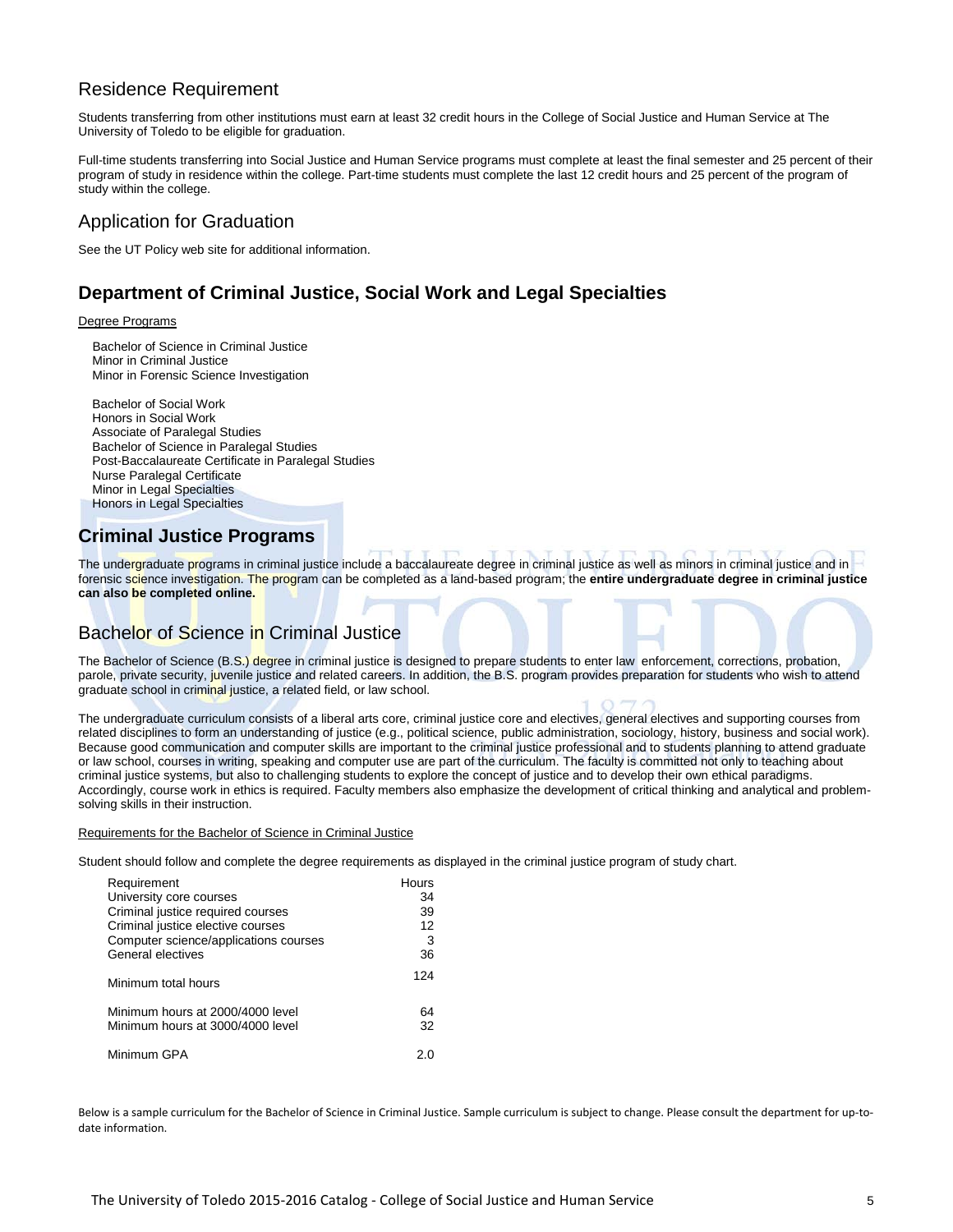# Residence Requirement

Students transferring from other institutions must earn at least 32 credit hours in the College of Social Justice and Human Service at The University of Toledo to be eligible for graduation.

Full-time students transferring into Social Justice and Human Service programs must complete at least the final semester and 25 percent of their program of study in residence within the college. Part-time students must complete the last 12 credit hours and 25 percent of the program of study within the college.

# Application for Graduation

See the UT Policy web site for additional information.

# **Department of Criminal Justice, Social Work and Legal Specialties**

#### Degree Programs

Bachelor of Science in Criminal Justice Minor in Criminal Justice Minor in Forensic Science Investigation

Bachelor of Social Work Honors in Social Work Associate of Paralegal Studies Bachelor of Science in Paralegal Studies Post-Baccalaureate Certificate in Paralegal Studies Nurse Paralegal Certificate Minor in Legal Specialties Honors in Legal Specialties

# **Criminal Justice Programs**

The undergraduate programs in criminal justice include a baccalaureate degree in criminal justice as well as minors in criminal justice and in forensic science investigation. The program can be completed as a land-based program; the **entire undergraduate degree in criminal justice can also be completed online.**

# Bachelor of Science in Criminal Justice

The Bachelor of Science (B.S.) degree in criminal justice is designed to prepare students to enter law enforcement, corrections, probation, parole, private security, juvenile justice and related careers. In addition, the B.S. program provides preparation for students who wish to attend graduate school in criminal justice, a related field, or law school.

The undergraduate curriculum consists of a liberal arts core, criminal justice core and electives, general electives and supporting courses from related disciplines to form an understanding of justice (e.g., political science, public administration, sociology, history, business and social work). Because good communication and computer skills are important to the criminal justice professional and to students planning to attend graduate or law school, courses in writing, speaking and computer use are part of the curriculum. The faculty is committed not only to teaching about criminal justice systems, but also to challenging students to explore the concept of justice and to develop their own ethical paradigms. Accordingly, course work in ethics is required. Faculty members also emphasize the development of critical thinking and analytical and problemsolving skills in their instruction.

#### Requirements for the Bachelor of Science in Criminal Justice

Student should follow and complete the degree requirements as displayed in the criminal justice program of study chart.

| Requirement                           | <b>Hours</b> |
|---------------------------------------|--------------|
| University core courses               | 34           |
| Criminal justice required courses     | 39           |
| Criminal justice elective courses     | 12           |
| Computer science/applications courses | 3            |
| General electives                     | 36           |
| Minimum total hours                   | 124          |
| Minimum hours at 2000/4000 level      | 64           |
| Minimum hours at 3000/4000 level      | 32           |
| Minimum GPA                           | 2 በ          |

Below is a sample curriculum for the Bachelor of Science in Criminal Justice. Sample curriculum is subject to change. Please consult the department for up-todate information.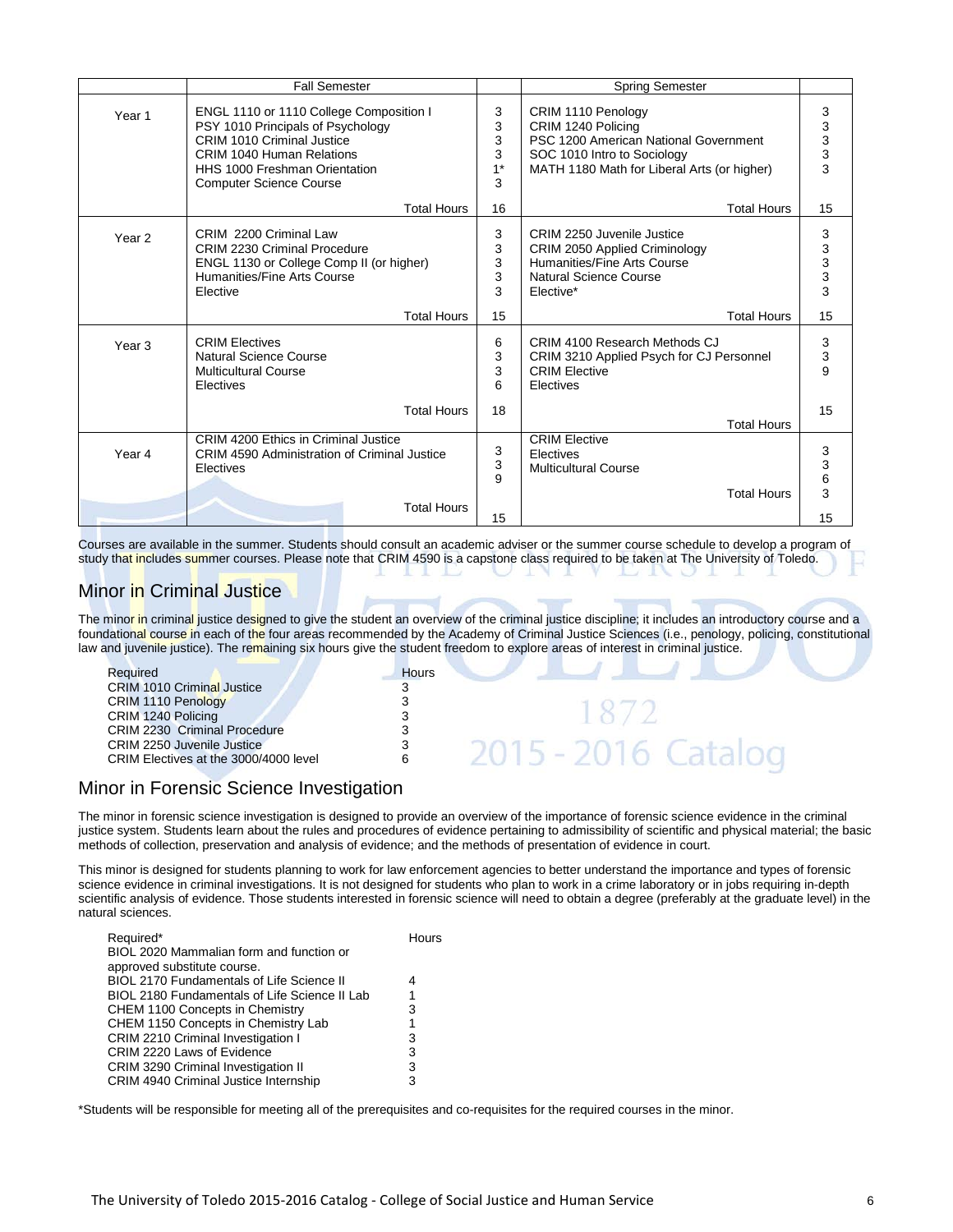|                   | <b>Fall Semester</b>                                                                                                                                                                                              |                               | <b>Spring Semester</b>                                                                                                                                          |                                                 |
|-------------------|-------------------------------------------------------------------------------------------------------------------------------------------------------------------------------------------------------------------|-------------------------------|-----------------------------------------------------------------------------------------------------------------------------------------------------------------|-------------------------------------------------|
| Year <sub>1</sub> | ENGL 1110 or 1110 College Composition I<br>PSY 1010 Principals of Psychology<br>CRIM 1010 Criminal Justice<br><b>CRIM 1040 Human Relations</b><br>HHS 1000 Freshman Orientation<br><b>Computer Science Course</b> | 3<br>3<br>3<br>3<br>$1*$<br>3 | CRIM 1110 Penology<br>CRIM 1240 Policing<br>PSC 1200 American National Government<br>SOC 1010 Intro to Sociology<br>MATH 1180 Math for Liberal Arts (or higher) | 3<br>$\begin{array}{c} 3 \\ 3 \\ 3 \end{array}$ |
|                   | <b>Total Hours</b>                                                                                                                                                                                                | 16                            | <b>Total Hours</b>                                                                                                                                              | 15                                              |
| Year 2            | CRIM 2200 Criminal Law<br><b>CRIM 2230 Criminal Procedure</b><br>ENGL 1130 or College Comp II (or higher)<br>Humanities/Fine Arts Course<br>Elective                                                              | 3<br>3<br>3<br>3<br>3         | CRIM 2250 Juvenile Justice<br>CRIM 2050 Applied Criminology<br>Humanities/Fine Arts Course<br><b>Natural Science Course</b><br>Elective*                        | 3<br>$\begin{array}{c} 3 \\ 3 \\ 3 \end{array}$ |
|                   | <b>Total Hours</b>                                                                                                                                                                                                | 15                            | <b>Total Hours</b>                                                                                                                                              | 15                                              |
| Year <sub>3</sub> | <b>CRIM Electives</b><br>Natural Science Course<br><b>Multicultural Course</b><br>Electives                                                                                                                       | 6<br>3<br>3<br>6              | CRIM 4100 Research Methods CJ<br>CRIM 3210 Applied Psych for CJ Personnel<br><b>CRIM Flective</b><br>Electives                                                  | 3<br>3<br>9                                     |
|                   | <b>Total Hours</b>                                                                                                                                                                                                | 18                            | <b>Total Hours</b>                                                                                                                                              | 15                                              |
| Year 4            | CRIM 4200 Ethics in Criminal Justice<br><b>CRIM 4590 Administration of Criminal Justice</b><br>Electives<br><b>Total Hours</b>                                                                                    | 3<br>3<br>9<br>15             | <b>CRIM Elective</b><br>Electives<br><b>Multicultural Course</b><br><b>Total Hours</b>                                                                          | 3<br>3<br>6<br>3<br>15                          |

Courses are available in the summer. Students should consult an academic adviser or the summer course schedule to develop a program of study that includes summer courses. Please note that CRIM 4590 is a capstone class required to be taken at The University of Toledo.

### Minor in Criminal Justice

The minor in criminal justice designed to give the student an overview of the criminal justice discipline; it includes an introductory course and a foundational course in each of the four areas recommended by the Academy of Criminal Justice Sciences (i.e., penology, policing, constitutional law and juvenile justice). The remaining six hours give the student freedom to explore areas of interest in criminal justice.

| Required                              | <b>Hours</b> |                    |
|---------------------------------------|--------------|--------------------|
| <b>CRIM 1010 Criminal Justice</b>     |              |                    |
| CRIM 1110 Penology                    |              |                    |
| CRIM 1240 Policing                    |              |                    |
| <b>CRIM 2230 Criminal Procedure</b>   |              |                    |
| CRIM 2250 Juvenile Justice            |              |                    |
| CRIM Electives at the 3000/4000 level |              | .5 - 2016. Cataloo |
|                                       |              |                    |

### Minor in Forensic Science Investigation

The minor in forensic science investigation is designed to provide an overview of the importance of forensic science evidence in the criminal justice system. Students learn about the rules and procedures of evidence pertaining to admissibility of scientific and physical material; the basic methods of collection, preservation and analysis of evidence; and the methods of presentation of evidence in court.

This minor is designed for students planning to work for law enforcement agencies to better understand the importance and types of forensic science evidence in criminal investigations. It is not designed for students who plan to work in a crime laboratory or in jobs requiring in-depth scientific analysis of evidence. Those students interested in forensic science will need to obtain a degree (preferably at the graduate level) in the natural sciences.

| Required*<br>BIOL 2020 Mammalian form and function or | Hours |
|-------------------------------------------------------|-------|
| approved substitute course.                           |       |
| <b>BIOL 2170 Fundamentals of Life Science II</b>      | 4     |
| BIOL 2180 Fundamentals of Life Science II Lab         | 1     |
| CHEM 1100 Concepts in Chemistry                       | 3     |
| CHEM 1150 Concepts in Chemistry Lab                   | 1     |
| CRIM 2210 Criminal Investigation I                    | 3     |
| CRIM 2220 Laws of Evidence                            | 3     |
| <b>CRIM 3290 Criminal Investigation II</b>            | 3     |
| CRIM 4940 Criminal Justice Internship                 | 3     |

\*Students will be responsible for meeting all of the prerequisites and co-requisites for the required courses in the minor.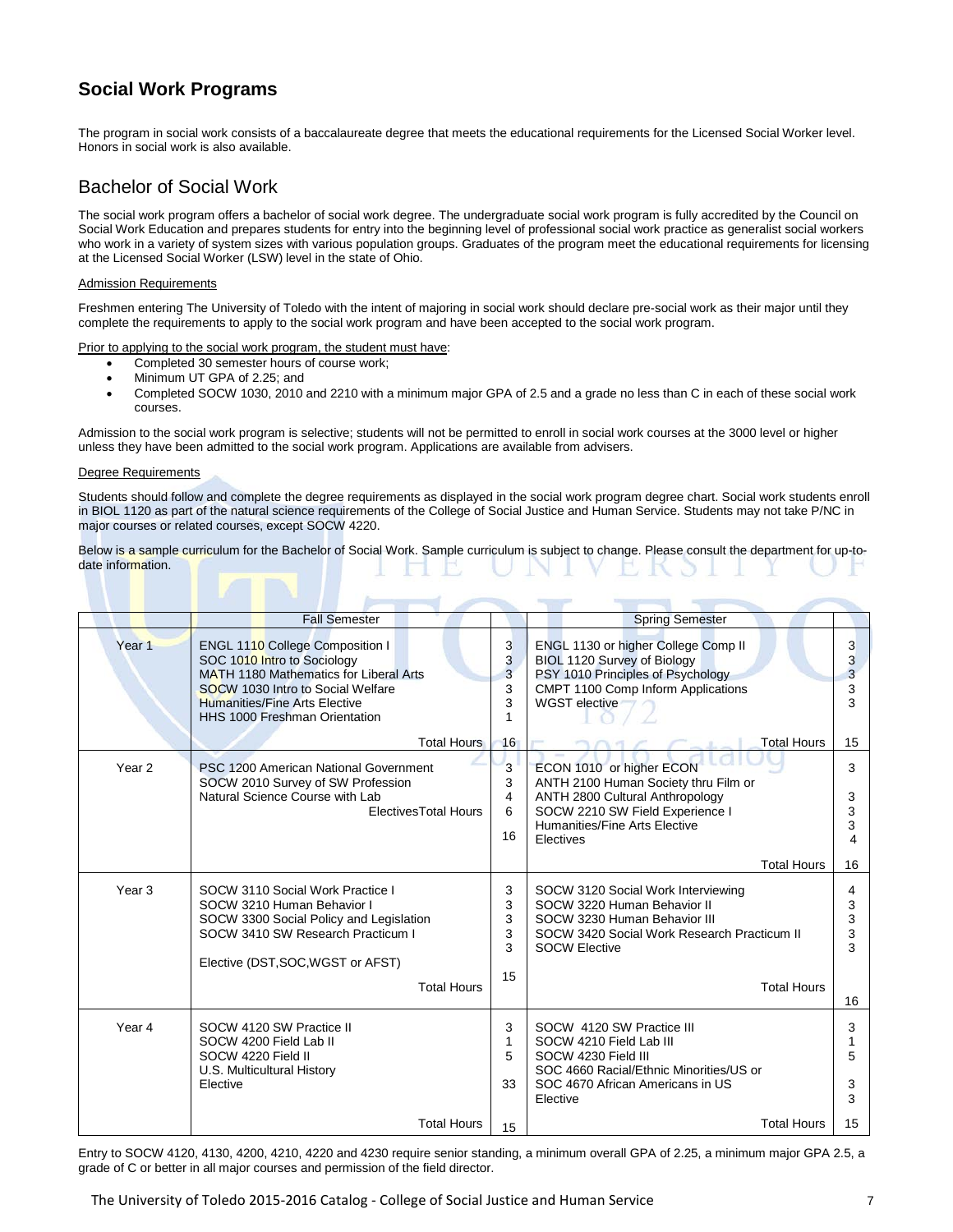# **Social Work Programs**

The program in social work consists of a baccalaureate degree that meets the educational requirements for the Licensed Social Worker level. Honors in social work is also available.

### Bachelor of Social Work

The social work program offers a bachelor of social work degree. The undergraduate social work program is fully accredited by the Council on Social Work Education and prepares students for entry into the beginning level of professional social work practice as generalist social workers who work in a variety of system sizes with various population groups. Graduates of the program meet the educational requirements for licensing at the Licensed Social Worker (LSW) level in the state of Ohio.

#### Admission Requirements

Freshmen entering The University of Toledo with the intent of majoring in social work should declare pre-social work as their major until they complete the requirements to apply to the social work program and have been accepted to the social work program.

Prior to applying to the social work program, the student must have:

- Completed 30 semester hours of course work;
- Minimum UT GPA of 2.25; and
- Completed SOCW 1030, 2010 and 2210 with a minimum major GPA of 2.5 and a grade no less than C in each of these social work courses.

Admission to the social work program is selective; students will not be permitted to enroll in social work courses at the 3000 level or higher unless they have been admitted to the social work program. Applications are available from advisers.

#### Degree Requirements

Students should follow and complete the degree requirements as displayed in the social work program degree chart. Social work students enroll in BIOL 1120 as part of the natural science requirements of the College of Social Justice and Human Service. Students may not take P/NC in major courses or related courses, except SOCW 4220.

Below is a sample curriculum for the Bachelor of Social Work. Sample curriculum is subject to change. Please consult the department for up-todate information.

|                   | <b>Fall Semester</b>                                                                                                                                                                                                          |                              | <b>Spring Semester</b>                                                                                                                                                                         |                                  |  |  |  |  |  |
|-------------------|-------------------------------------------------------------------------------------------------------------------------------------------------------------------------------------------------------------------------------|------------------------------|------------------------------------------------------------------------------------------------------------------------------------------------------------------------------------------------|----------------------------------|--|--|--|--|--|
| Year <sub>1</sub> | ENGL 1110 College Composition I<br>SOC 1010 Intro to Sociology<br>MATH 1180 Mathematics for Liberal Arts<br>SOCW 1030 Intro to Social Welfare<br><b>Humanities/Fine Arts Elective</b><br><b>HHS 1000 Freshman Orientation</b> | 3<br>3<br>3<br>3<br>3<br>1   | ENGL 1130 or higher College Comp II<br>BIOL 1120 Survey of Biology<br>PSY 1010 Principles of Psychology<br>CMPT 1100 Comp Inform Applications<br><b>WGST</b> elective                          | $\mathbf{3}$<br>3<br>3<br>3<br>3 |  |  |  |  |  |
|                   | <b>Total Hours</b>                                                                                                                                                                                                            | 16                           | <b>Total Hours</b>                                                                                                                                                                             | 15                               |  |  |  |  |  |
| Year 2            | PSC 1200 American National Government<br>SOCW 2010 Survey of SW Profession<br>Natural Science Course with Lab<br><b>ElectivesTotal Hours</b>                                                                                  | 3<br>3<br>4<br>6<br>16       | ECON 1010 or higher ECON<br>ANTH 2100 Human Society thru Film or<br>ANTH 2800 Cultural Anthropology<br>SOCW 2210 SW Field Experience I<br>Humanities/Fine Arts Elective<br>Electives           | 3<br>3<br>3<br>3<br>4            |  |  |  |  |  |
|                   |                                                                                                                                                                                                                               |                              | <b>Total Hours</b>                                                                                                                                                                             | 16                               |  |  |  |  |  |
| Year <sub>3</sub> | SOCW 3110 Social Work Practice I<br>SOCW 3210 Human Behavior I<br>SOCW 3300 Social Policy and Legislation<br>SOCW 3410 SW Research Practicum I<br>Elective (DST, SOC, WGST or AFST)<br><b>Total Hours</b>                     | 3<br>3<br>3<br>3<br>3<br>15  | SOCW 3120 Social Work Interviewing<br>SOCW 3220 Human Behavior II<br>SOCW 3230 Human Behavior III<br>SOCW 3420 Social Work Research Practicum II<br><b>SOCW Elective</b><br><b>Total Hours</b> | 4<br>3<br>3<br>3<br>3            |  |  |  |  |  |
|                   |                                                                                                                                                                                                                               |                              |                                                                                                                                                                                                | 16                               |  |  |  |  |  |
| Year 4            | SOCW 4120 SW Practice II<br>SOCW 4200 Field Lab II<br>SOCW 4220 Field II<br>U.S. Multicultural History<br>Elective                                                                                                            | 3<br>$\mathbf{1}$<br>5<br>33 | SOCW 4120 SW Practice III<br>SOCW 4210 Field Lab III<br>SOCW 4230 Field III<br>SOC 4660 Racial/Ethnic Minorities/US or<br>SOC 4670 African Americans in US<br>Elective                         | 3<br>1<br>5<br>3<br>3            |  |  |  |  |  |
|                   | <b>Total Hours</b>                                                                                                                                                                                                            | 15                           | <b>Total Hours</b>                                                                                                                                                                             | 15                               |  |  |  |  |  |

Entry to SOCW 4120, 4130, 4200, 4210, 4220 and 4230 require senior standing, a minimum overall GPA of 2.25, a minimum major GPA 2.5, a grade of C or better in all major courses and permission of the field director.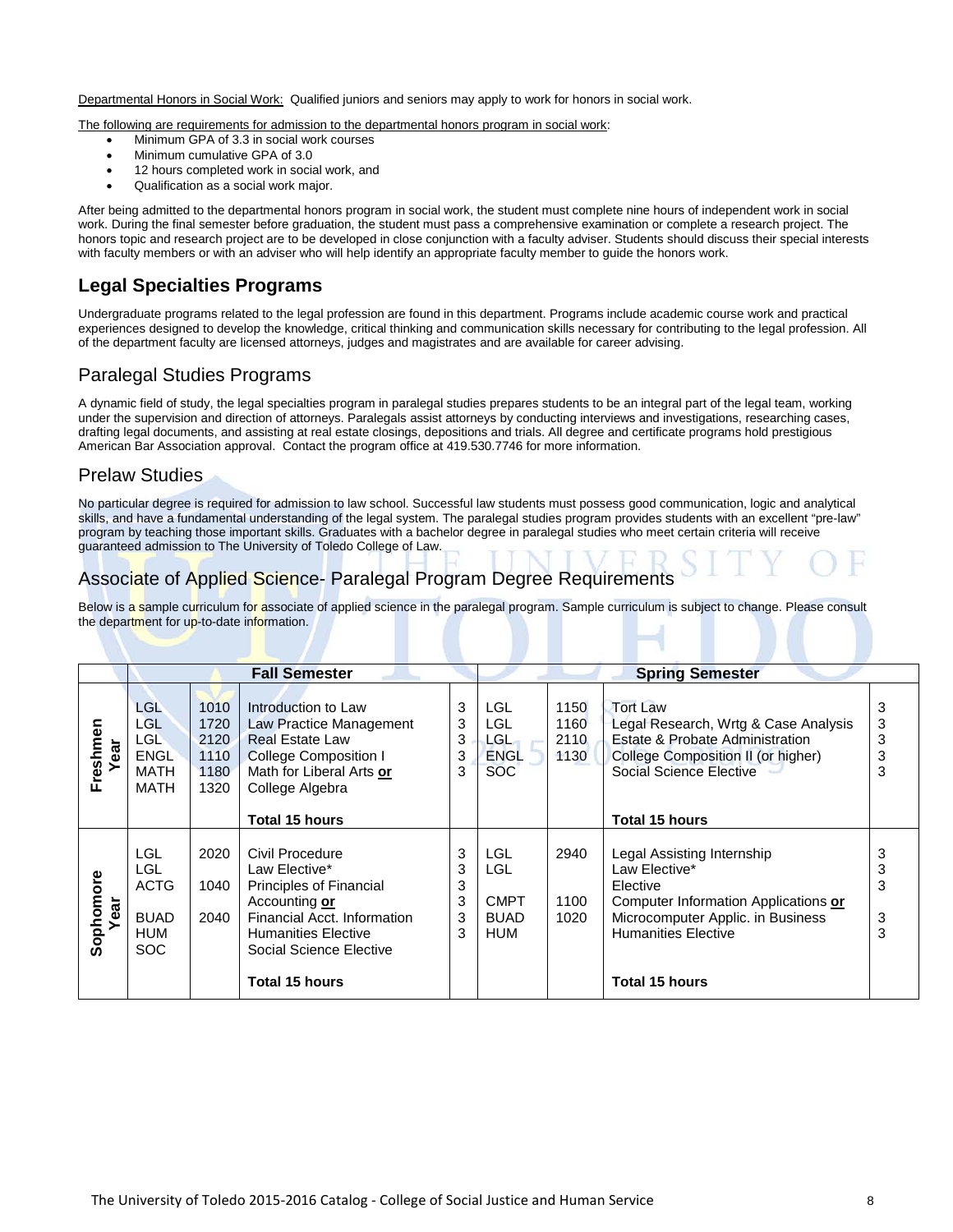Departmental Honors in Social Work: Qualified juniors and seniors may apply to work for honors in social work.

The following are requirements for admission to the departmental honors program in social work:

- Minimum GPA of 3.3 in social work courses
- Minimum cumulative GPA of 3.0
- 12 hours completed work in social work, and
- Qualification as a social work major.

After being admitted to the departmental honors program in social work, the student must complete nine hours of independent work in social work. During the final semester before graduation, the student must pass a comprehensive examination or complete a research project. The honors topic and research project are to be developed in close conjunction with a faculty adviser. Students should discuss their special interests with faculty members or with an adviser who will help identify an appropriate faculty member to guide the honors work.

# **Legal Specialties Programs**

Undergraduate programs related to the legal profession are found in this department. Programs include academic course work and practical experiences designed to develop the knowledge, critical thinking and communication skills necessary for contributing to the legal profession. All of the department faculty are licensed attorneys, judges and magistrates and are available for career advising.

# Paralegal Studies Programs

A dynamic field of study, the legal specialties program in paralegal studies prepares students to be an integral part of the legal team, working under the supervision and direction of attorneys. Paralegals assist attorneys by conducting interviews and investigations, researching cases, drafting legal documents, and assisting at real estate closings, depositions and trials. All degree and certificate programs hold prestigious American Bar Association approval. Contact the program office at 419.530.7746 for more information.

#### Prelaw Studies

No particular degree is required for admission to law school. Successful law students must possess good communication, logic and analytical skills, and have a fundamental understanding of the legal system. The paralegal studies program provides students with an excellent "pre-law" program by teaching those important skills. Graduates with a bachelor degree in paralegal studies who meet certain criteria will receive guaranteed admission to The University of Toledo College of Law.

# Associate of Applied Science- Paralegal Program Degree Requirements

Below is a sample curriculum for associate of applied science in the paralegal program. Sample curriculum is subject to change. Please consult the department for up-to-date information.

|                   | <b>Fall Semester</b>                                                  |                                              |                                                                                                                                                                                                                        |                                               |                                                                     |                              | <b>Spring Semester</b>                                                                                                                                                                                               |                       |  |  |
|-------------------|-----------------------------------------------------------------------|----------------------------------------------|------------------------------------------------------------------------------------------------------------------------------------------------------------------------------------------------------------------------|-----------------------------------------------|---------------------------------------------------------------------|------------------------------|----------------------------------------------------------------------------------------------------------------------------------------------------------------------------------------------------------------------|-----------------------|--|--|
| Freshmen<br>Year  | <b>LGL</b><br>LGL<br>LGL<br><b>ENGL</b><br><b>MATH</b><br><b>MATH</b> | 1010<br>1720<br>2120<br>1110<br>1180<br>1320 | Introduction to Law<br>Law Practice Management<br><b>Real Estate Law</b><br><b>College Composition I</b><br>Math for Liberal Arts or<br>College Algebra                                                                | 3<br>3<br>3<br>$\ensuremath{\mathsf{3}}$<br>3 | <b>LGL</b><br><b>LGL</b><br>LGL-<br><b>ENGL</b><br>SOC <sup>1</sup> | 1150<br>1160<br>2110<br>1130 | <b>Tort Law</b><br>Legal Research, Wrtg & Case Analysis<br>Estate & Probate Administration<br>College Composition II (or higher)<br>Social Science Elective                                                          | 3<br>3<br>3<br>3<br>3 |  |  |
| Sophomore<br>Year | LGL<br>LGL<br><b>ACTG</b><br><b>BUAD</b><br>HUM<br><b>SOC</b>         | 2020<br>1040<br>2040                         | <b>Total 15 hours</b><br>Civil Procedure<br>Law Elective*<br>Principles of Financial<br>Accounting or<br>Financial Acct. Information<br><b>Humanities Elective</b><br>Social Science Elective<br><b>Total 15 hours</b> | 3<br>3<br>3<br>3<br>3<br>3                    | <b>LGL</b><br><b>LGL</b><br><b>CMPT</b><br><b>BUAD</b><br>HUM       | 2940<br>1100<br>1020         | <b>Total 15 hours</b><br>Legal Assisting Internship<br>Law Elective*<br>Elective<br>Computer Information Applications or<br>Microcomputer Applic. in Business<br><b>Humanities Elective</b><br><b>Total 15 hours</b> | 3<br>3<br>3<br>3<br>3 |  |  |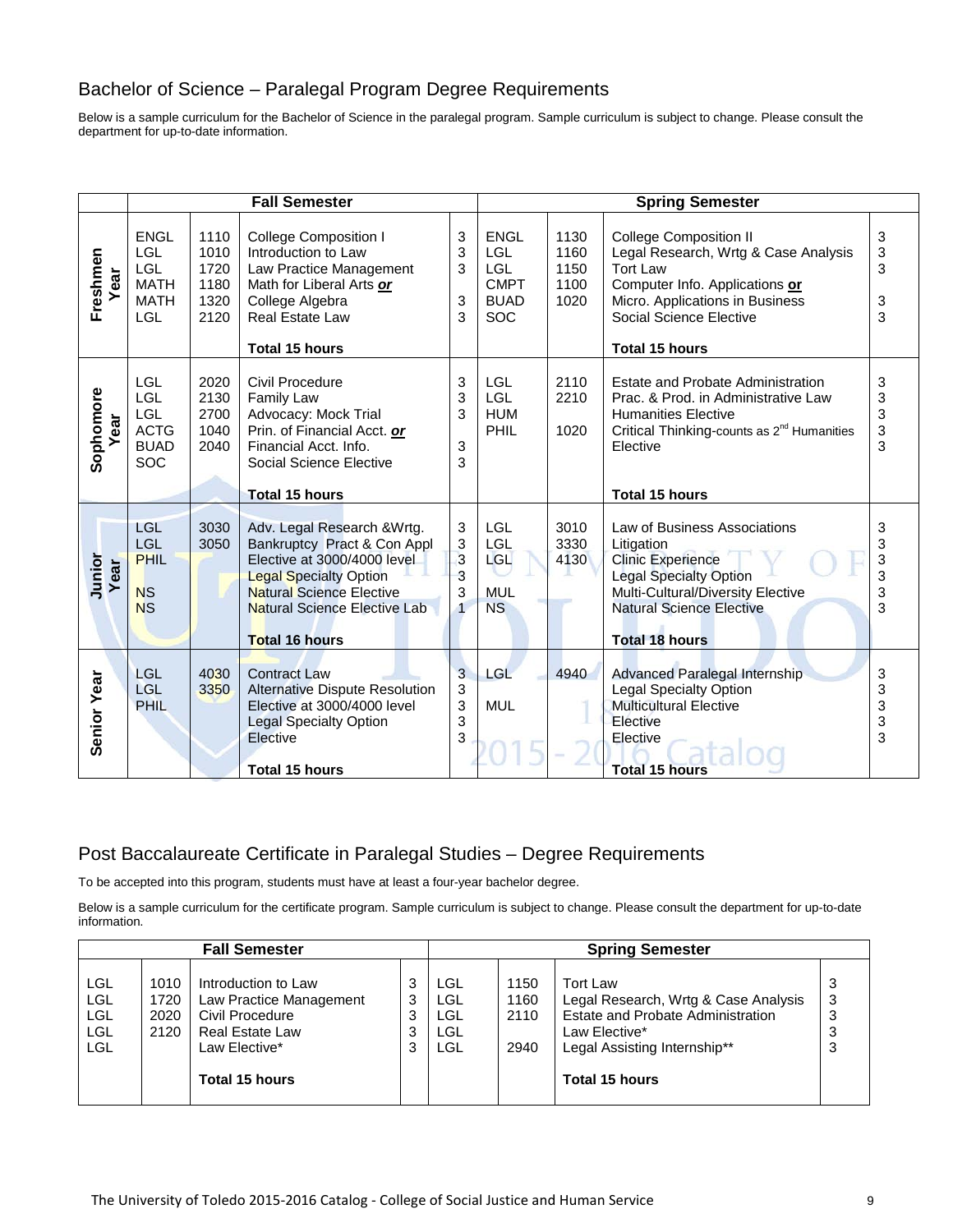# Bachelor of Science – Paralegal Program Degree Requirements

Below is a sample curriculum for the Bachelor of Science in the paralegal program. Sample curriculum is subject to change. Please consult the department for up-to-date information.

|                   |                                                                              | <b>Fall Semester</b>                         |                                                                                                                                                                                                                               | <b>Spring Semester</b>                           |                                                                                     |                                      |                                                                                                                                                                                                                   |                            |
|-------------------|------------------------------------------------------------------------------|----------------------------------------------|-------------------------------------------------------------------------------------------------------------------------------------------------------------------------------------------------------------------------------|--------------------------------------------------|-------------------------------------------------------------------------------------|--------------------------------------|-------------------------------------------------------------------------------------------------------------------------------------------------------------------------------------------------------------------|----------------------------|
| Freshmen<br>Year  | <b>ENGL</b><br>LGL<br><b>LGL</b><br><b>MATH</b><br><b>MATH</b><br><b>LGL</b> | 1110<br>1010<br>1720<br>1180<br>1320<br>2120 | <b>College Composition I</b><br>Introduction to Law<br>Law Practice Management<br>Math for Liberal Arts or<br>College Algebra<br><b>Real Estate Law</b><br><b>Total 15 hours</b>                                              | 3<br>3<br>3<br>$\sqrt{3}$<br>3                   | <b>ENGL</b><br><b>LGL</b><br><b>LGL</b><br><b>CMPT</b><br><b>BUAD</b><br><b>SOC</b> | 1130<br>1160<br>1150<br>1100<br>1020 | <b>College Composition II</b><br>Legal Research, Wrtg & Case Analysis<br><b>Tort Law</b><br>Computer Info. Applications or<br>Micro. Applications in Business<br>Social Science Elective<br><b>Total 15 hours</b> | 3<br>3<br>3<br>3<br>3      |
| Sophomore<br>Year | <b>LGL</b><br>LGL<br>LGL<br><b>ACTG</b><br><b>BUAD</b><br>SOC                | 2020<br>2130<br>2700<br>1040<br>2040         | Civil Procedure<br><b>Family Law</b><br>Advocacy: Mock Trial<br>Prin. of Financial Acct. or<br>Financial Acct. Info.<br>Social Science Elective<br><b>Total 15 hours</b>                                                      | 3<br>3<br>3<br>$\ensuremath{\mathsf{3}}$<br>3    | LGL<br><b>LGL</b><br><b>HUM</b><br>PHIL                                             | 2110<br>2210<br>1020                 | <b>Estate and Probate Administration</b><br>Prac. & Prod. in Administrative Law<br><b>Humanities Elective</b><br>Critical Thinking-counts as 2 <sup>nd</sup> Humanities<br>Elective<br><b>Total 15 hours</b>      | 3<br>3<br>3<br>3<br>3      |
| Junior<br>Year    | <b>LGL</b><br>LGL<br><b>PHIL</b><br><b>NS</b><br><b>NS</b>                   | 3030<br>3050                                 | Adv. Legal Research & Wrtg.<br>Bankruptcy Pract & Con Appl<br>Elective at 3000/4000 level<br><b>Legal Specialty Option</b><br><b>Natural Science Elective</b><br><b>Natural Science Elective Lab</b><br><b>Total 16 hours</b> | 3<br>$\mathbf{3}$<br>3<br>3<br>3<br>$\mathbf{1}$ | LGL<br>LGL<br>LGL<br><b>MUL</b><br><b>NS</b>                                        | 3010<br>3330<br>4130                 | Law of Business Associations<br>Litigation<br><b>Clinic Experience</b><br><b>Legal Specialty Option</b><br>Multi-Cultural/Diversity Elective<br><b>Natural Science Elective</b><br><b>Total 18 hours</b>          | 3<br>3<br>3<br>3<br>3<br>3 |
| Senior Year       | <b>LGL</b><br><b>LGL</b><br><b>PHIL</b>                                      | 4030<br>3350                                 | <b>Contract Law</b><br>Alternative Dispute Resolution<br>Elective at 3000/4000 level<br><b>Legal Specialty Option</b><br>Elective<br><b>Total 15 hours</b>                                                                    | 3<br>3<br>3<br>3<br>3                            | <b>LGL</b><br><b>MUL</b>                                                            | 4940                                 | Advanced Paralegal Internship<br><b>Legal Specialty Option</b><br><b>Multicultural Elective</b><br>Elective<br>Elective<br><b>Total 15 hours</b>                                                                  | 3<br>3<br>3<br>3<br>3      |

# Post Baccalaureate Certificate in Paralegal Studies – Degree Requirements

To be accepted into this program, students must have at least a four-year bachelor degree.

Below is a sample curriculum for the certificate program. Sample curriculum is subject to change. Please consult the department for up-to-date information.

|                                                      | <b>Fall Semester</b>         |                                                                                                                                       | <b>Spring Semester</b> |                                               |                              |                                                                                                                                                                        |   |
|------------------------------------------------------|------------------------------|---------------------------------------------------------------------------------------------------------------------------------------|------------------------|-----------------------------------------------|------------------------------|------------------------------------------------------------------------------------------------------------------------------------------------------------------------|---|
| LGL<br><b>LGL</b><br>LGL<br><b>LGL</b><br><b>LGL</b> | 1010<br>1720<br>2020<br>2120 | Introduction to Law<br>Law Practice Management<br>Civil Procedure<br><b>Real Estate Law</b><br>Law Elective*<br><b>Total 15 hours</b> | 3<br>3<br>3<br>3<br>3  | LGL<br><b>LGL</b><br>LGL<br><b>LGL</b><br>LGL | 1150<br>1160<br>2110<br>2940 | <b>Tort Law</b><br>Legal Research, Wrtg & Case Analysis<br>Estate and Probate Administration<br>Law Elective*<br>Legal Assisting Internship**<br><b>Total 15 hours</b> | 3 |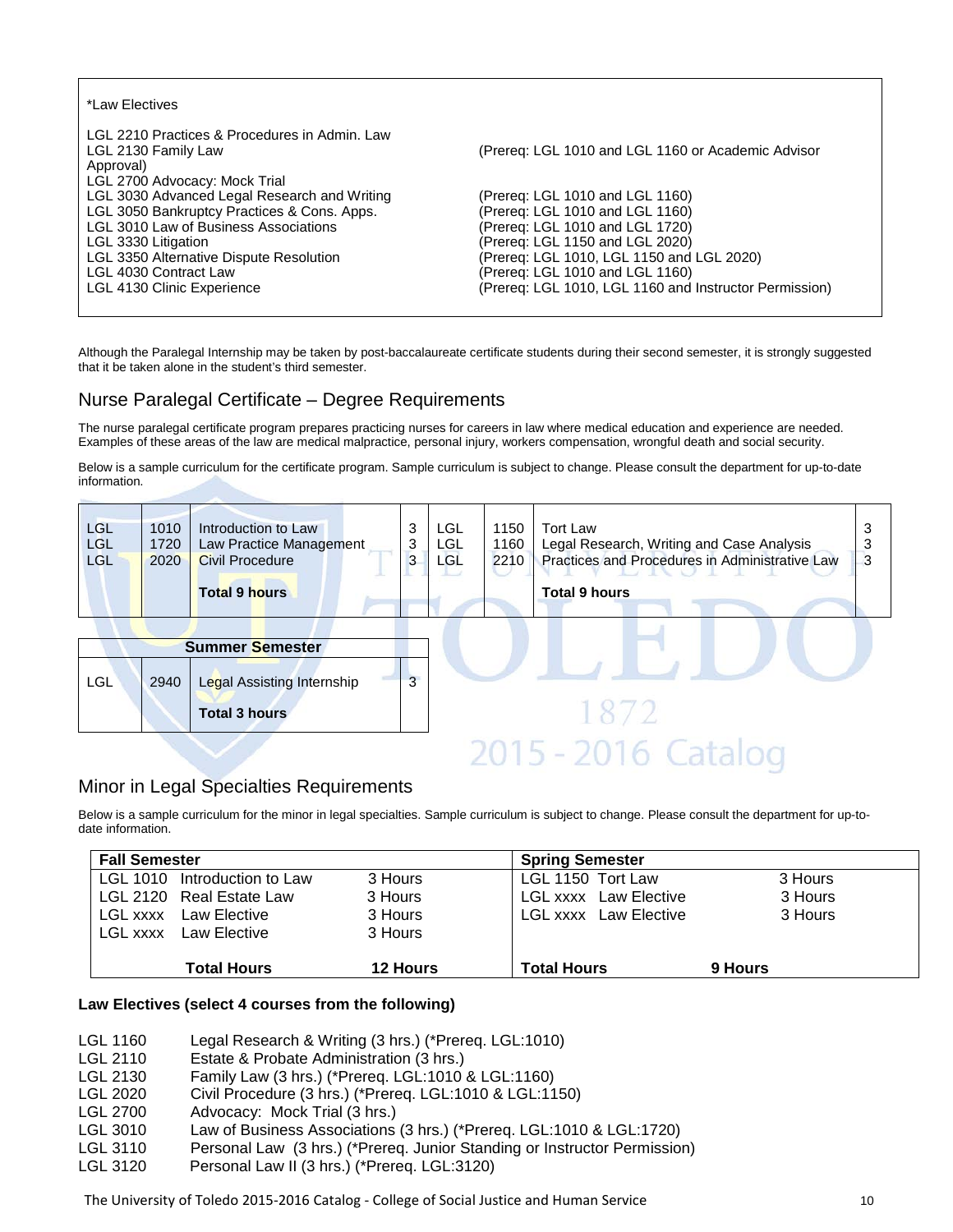| *Law Electives                                                                                                                                                                                                                                                                                 |                                                                                                                                                                                                                                                                                    |
|------------------------------------------------------------------------------------------------------------------------------------------------------------------------------------------------------------------------------------------------------------------------------------------------|------------------------------------------------------------------------------------------------------------------------------------------------------------------------------------------------------------------------------------------------------------------------------------|
| LGL 2210 Practices & Procedures in Admin. Law<br>LGL 2130 Family Law<br>Approval)                                                                                                                                                                                                              | (Prereg: LGL 1010 and LGL 1160 or Academic Advisor                                                                                                                                                                                                                                 |
| LGL 2700 Advocacy: Mock Trial<br>LGL 3030 Advanced Legal Research and Writing<br>LGL 3050 Bankruptcy Practices & Cons. Apps.<br>LGL 3010 Law of Business Associations<br>LGL 3330 Litigation<br>LGL 3350 Alternative Dispute Resolution<br>LGL 4030 Contract Law<br>LGL 4130 Clinic Experience | (Prereg: LGL 1010 and LGL 1160)<br>(Prereq: LGL 1010 and LGL 1160)<br>(Prereq: LGL 1010 and LGL 1720)<br>(Prereq: LGL 1150 and LGL 2020)<br>(Prereq: LGL 1010, LGL 1150 and LGL 2020)<br>(Prereg: LGL 1010 and LGL 1160)<br>(Prereq: LGL 1010, LGL 1160 and Instructor Permission) |

Although the Paralegal Internship may be taken by post-baccalaureate certificate students during their second semester, it is strongly suggested that it be taken alone in the student's third semester.

### Nurse Paralegal Certificate – Degree Requirements

The nurse paralegal certificate program prepares practicing nurses for careers in law where medical education and experience are needed. Examples of these areas of the law are medical malpractice, personal injury, workers compensation, wrongful death and social security.

Below is a sample curriculum for the certificate program. Sample curriculum is subject to change. Please consult the department for up-to-date information.

| <b>LGL</b><br><b>LGL</b><br>LGL | 1010<br>1720<br>2020 | Introduction to Law<br>Law Practice Management<br><b>Civil Procedure</b><br><b>Total 9 hours</b> | 3<br>3<br>3 | LGL<br><b>LGL</b><br><b>LGL</b> | 1150<br>1160<br>2210 | <b>Tort Law</b><br>Legal Research, Writing and Case Analysis<br>Practices and Procedures in Administrative Law<br><b>Total 9 hours</b> | З<br>3 |
|---------------------------------|----------------------|--------------------------------------------------------------------------------------------------|-------------|---------------------------------|----------------------|----------------------------------------------------------------------------------------------------------------------------------------|--------|
|                                 |                      | <b>Summer Semester</b>                                                                           |             |                                 |                      |                                                                                                                                        |        |
| <b>LGL</b>                      | 2940                 | Legal Assisting Internship                                                                       | 3           |                                 |                      |                                                                                                                                        |        |
|                                 |                      | <b>Total 3 hours</b>                                                                             |             |                                 |                      | 1872                                                                                                                                   |        |
|                                 |                      |                                                                                                  |             |                                 |                      | $-20$                                                                                                                                  |        |

# Minor in Legal Specialties Requirements

Below is a sample curriculum for the minor in legal specialties. Sample curriculum is subject to change. Please consult the department for up-todate information.

| <b>Fall Semester</b>            |                 | <b>Spring Semester</b>       |         |
|---------------------------------|-----------------|------------------------------|---------|
| Introduction to Law<br>LGL 1010 | 3 Hours         | LGL 1150 Tort Law            | 3 Hours |
| LGL 2120 Real Estate Law        | 3 Hours         | <b>LGL xxxx</b> Law Elective | 3 Hours |
| <b>LGL xxxx</b> Law Elective    | 3 Hours         | <b>LGL xxxx</b> Law Elective | 3 Hours |
| LGL xxxx Law Elective           | 3 Hours         |                              |         |
| Total Hours                     | <b>12 Hours</b> | <b>Total Hours</b>           | 9 Hours |

#### **Law Electives (select 4 courses from the following)**

- LGL 1160 Legal Research & Writing (3 hrs.) (\*Prereq. LGL:1010)
- LGL 2110 Estate & Probate Administration (3 hrs.)<br>LGL 2130 Family Law (3 hrs.) (\*Prereg. LGL:1010
- Family Law (3 hrs.) (\*Prereq. LGL:1010 & LGL:1160)
- LGL 2020 Civil Procedure (3 hrs.) (\*Prereq. LGL:1010 & LGL:1150)
- LGL 2700 Advocacy: Mock Trial (3 hrs.)<br>LGL 3010 Law of Business Associations
- LGL 3010 Law of Business Associations (3 hrs.) (\*Prereq. LGL:1010 & LGL:1720)<br>LGL 3110 Personal Law (3 hrs.) (\*Prereq. Junior Standing or Instructor Permission
- Personal Law (3 hrs.) (\*Prereq. Junior Standing or Instructor Permission)
- LGL 3120 Personal Law II (3 hrs.) (\*Prereq. LGL:3120)

The University of Toledo 2015-2016 Catalog - College of Social Justice and Human Service 10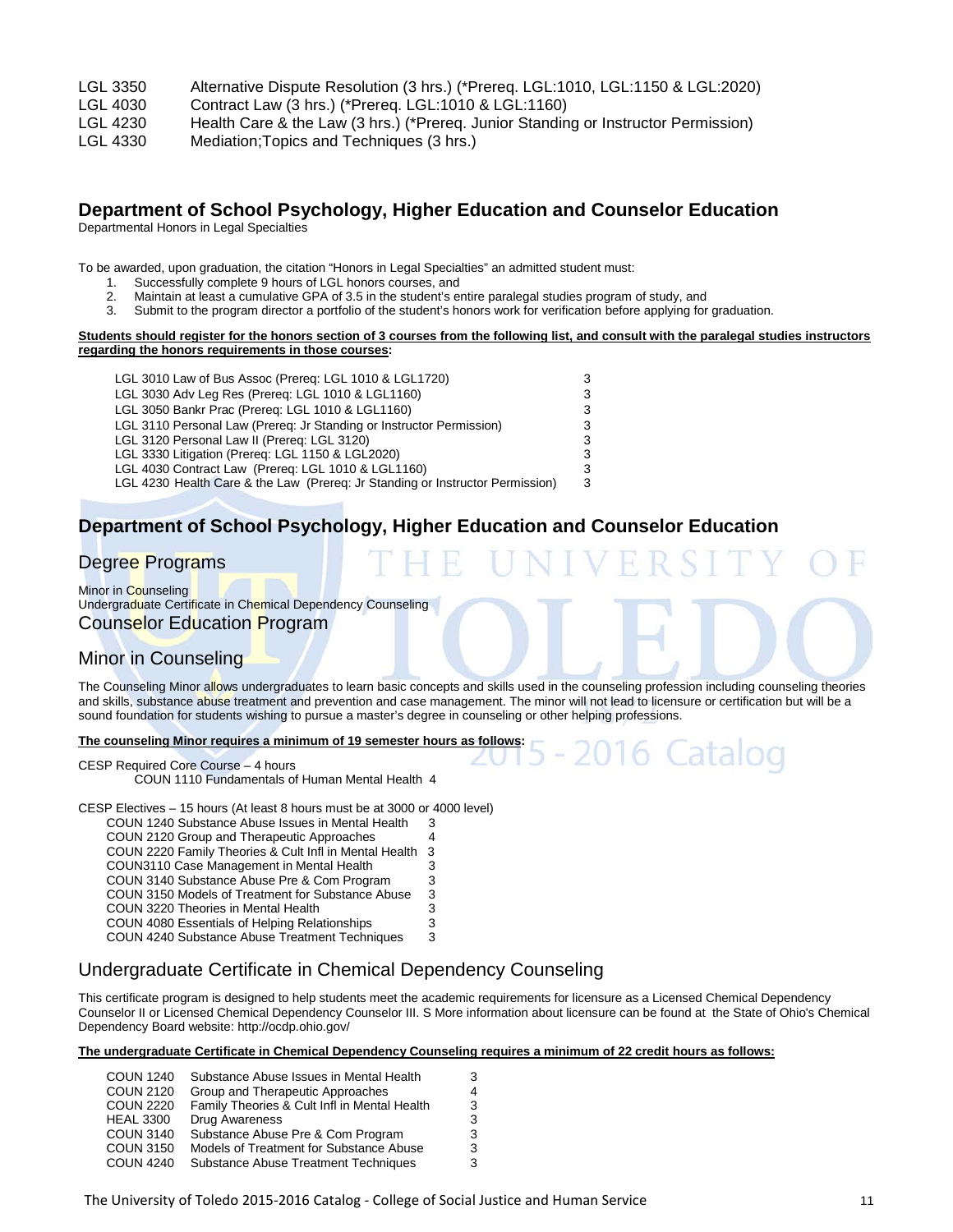- LGL 3350 Alternative Dispute Resolution (3 hrs.) (\*Prereq. LGL:1010, LGL:1150 & LGL:2020)
- LGL 4030 Contract Law (3 hrs.) (\*Prereq. LGL:1010 & LGL:1160)
- LGL 4230 Health Care & the Law (3 hrs.) (\*Prereq. Junior Standing or Instructor Permission)
- LGL 4330 Mediation;Topics and Techniques (3 hrs.)

# **Department of School Psychology, Higher Education and Counselor Education**

Departmental Honors in Legal Specialties

To be awarded, upon graduation, the citation "Honors in Legal Specialties" an admitted student must:

- 1. Successfully complete 9 hours of LGL honors courses, and<br>2. Maintain at least a cumulative GPA of 3.5 in the student's er
	- 2. Maintain at least a cumulative GPA of 3.5 in the student's entire paralegal studies program of study, and
- 3. Submit to the program director a portfolio of the student's honors work for verification before applying for graduation.

#### **Students should register for the honors section of 3 courses from the following list, and consult with the paralegal studies instructors regarding the honors requirements in those courses:**

| LGL 3010 Law of Bus Assoc (Prereq: LGL 1010 & LGL1720)                        | 3  |
|-------------------------------------------------------------------------------|----|
| LGL 3030 Adv Leg Res (Prereq: LGL 1010 & LGL1160)                             | 3  |
| LGL 3050 Bankr Prac (Prereg: LGL 1010 & LGL1160)                              | 3  |
| LGL 3110 Personal Law (Prereg: Jr Standing or Instructor Permission)          | 3  |
| LGL 3120 Personal Law II (Prereg: LGL 3120)                                   | 3  |
| LGL 3330 Litigation (Prereg: LGL 1150 & LGL2020)                              | 3  |
| LGL 4030 Contract Law (Prereq: LGL 1010 & LGL1160)                            | 3  |
| LGL 4230 Health Care & the Law (Prereg: Jr Standing or Instructor Permission) | -3 |

# **Department of School Psychology, Higher Education and Counselor Education**

### Degree Programs

Minor in Counseling Undergraduate Certificate in Chemical Dependency Counseling Counselor Education Program

### Minor in Counseling

The Counseling Minor allows undergraduates to learn basic concepts and skills used in the counseling profession including counseling theories and skills, substance abuse treatment and prevention and case management. The minor will not lead to licensure or certification but will be a sound foundation for students wishing to pursue a master's degree in counseling or other helping professions.

#### **The counseling Minor requires a minimum of 19 semester hours as follows:**

CESP Required Core Course – 4 hours

COUN 1110 Fundamentals of Human Mental Health 4

CESP Electives – 15 hours (At least 8 hours must be at 3000 or 4000 level)

- COUN 1240 Substance Abuse Issues in Mental Health 3 COUN 2120 Group and Therapeutic Approaches 4 COUN 2220 Family Theories & Cult Infl in Mental Health 3 COUN3110 Case Management in Mental Health 3 COUN 3140 Substance Abuse Pre & Com Program
- COUN 3150 Models of Treatment for Substance Abuse 3
- COUN 3220 Theories in Mental Health 3220 Theories in Mental Health 3<br>COUN 4080 Essentials of Helping Relationships 3
- COUN 4080 Essentials of Helping Relationships 3<br>COUN 4240 Substance Abuse Treatment Techniques 3
- COUN 4240 Substance Abuse Treatment Techniques

### Undergraduate Certificate in Chemical Dependency Counseling

This certificate program is designed to help students meet the academic requirements for licensure as a Licensed Chemical Dependency Counselor II or Licensed Chemical Dependency Counselor III. S More information about licensure can be found at the State of Ohio's Chemical Dependency Board website: http://ocdp.ohio.gov/

**The undergraduate Certificate in Chemical Dependency Counseling requires a minimum of 22 credit hours as follows:**

| <b>COUN 1240</b> | Substance Abuse Issues in Mental Health      | 3 |
|------------------|----------------------------------------------|---|
| <b>COUN 2120</b> | Group and Therapeutic Approaches             | 4 |
| <b>COUN 2220</b> | Family Theories & Cult Infl in Mental Health | 3 |
| <b>HEAL 3300</b> | <b>Drug Awareness</b>                        | 3 |
| <b>COUN 3140</b> | Substance Abuse Pre & Com Program            | 3 |
| <b>COUN 3150</b> | Models of Treatment for Substance Abuse      | 3 |
| <b>COUN 4240</b> | Substance Abuse Treatment Techniques         | 3 |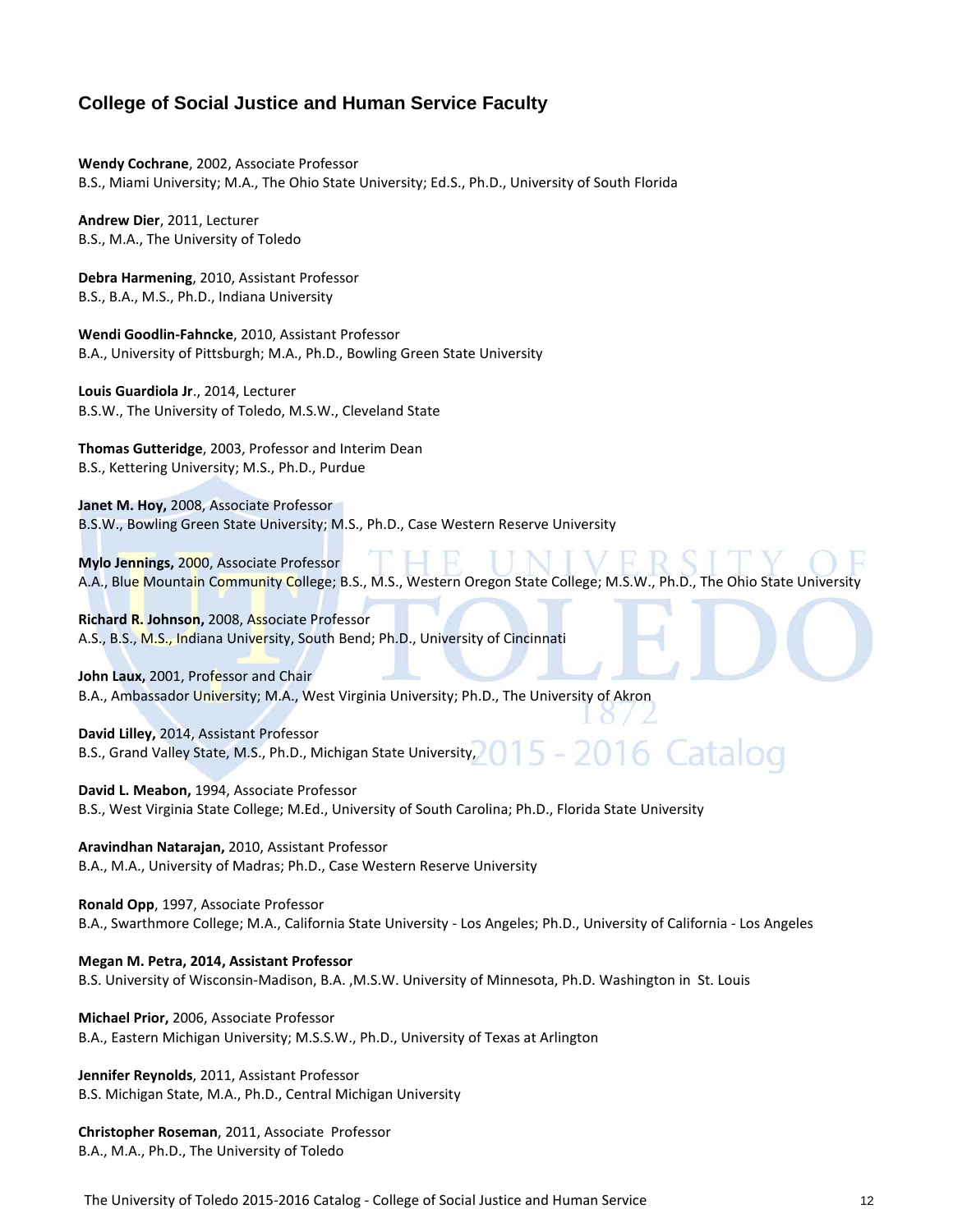# **College of Social Justice and Human Service Faculty**

**Wendy Cochrane**, 2002, Associate Professor B.S., Miami University; M.A., The Ohio State University; Ed.S., Ph.D., University of South Florida

**Andrew Dier**, 2011, Lecturer B.S., M.A., The University of Toledo

**Debra Harmening**, 2010, Assistant Professor B.S., B.A., M.S., Ph.D., Indiana University

**Wendi Goodlin-Fahncke**, 2010, Assistant Professor B.A., University of Pittsburgh; M.A., Ph.D., Bowling Green State University

**Louis Guardiola Jr**., 2014, Lecturer B.S.W., The University of Toledo, M.S.W., Cleveland State

**Thomas Gutteridge**, 2003, Professor and Interim Dean B.S., Kettering University; M.S., Ph.D., Purdue

**Janet M. Hoy,** 2008, Associate Professor B.S.W., Bowling Green State University; M.S., Ph.D., Case Western Reserve University

**Mylo Jennings,** 2000, Associate Professor A.A., Blue Mountain Community College; B.S., M.S., Western Oregon State College; M.S.W., Ph.D., The Ohio State University

**Richard R. Johnson,** 2008, Associate Professor A.S., B.S., M.S., Indiana University, South Bend; Ph.D., University of Cincinnati

**John Laux,** 2001, Professor and Chair B.A., Ambassador University; M.A., West Virginia University; Ph.D., The University of Akron

**David Lilley,** 2014, Assistant Professor B.S., Grand Valley State, M.S., Ph.D., Michigan State University,

**David L. Meabon,** 1994, Associate Professor B.S., West Virginia State College; M.Ed., University of South Carolina; Ph.D., Florida State University

**Aravindhan Natarajan,** 2010, Assistant Professor B.A., M.A., University of Madras; Ph.D., Case Western Reserve University

**Ronald Opp**, 1997, Associate Professor B.A., Swarthmore College; M.A., California State University - Los Angeles; Ph.D., University of California - Los Angeles

**Megan M. Petra, 2014, Assistant Professor** B.S. University of Wisconsin-Madison, B.A. ,M.S.W. University of Minnesota, Ph.D. Washington in St. Louis

**Michael Prior,** 2006, Associate Professor B.A., Eastern Michigan University; M.S.S.W., Ph.D., University of Texas at Arlington

**Jennifer Reynolds**, 2011, Assistant Professor B.S. Michigan State, M.A., Ph.D., Central Michigan University

**Christopher Roseman**, 2011, Associate Professor B.A., M.A., Ph.D., The University of Toledo

The University of Toledo 2015-2016 Catalog - College of Social Justice and Human Service 12